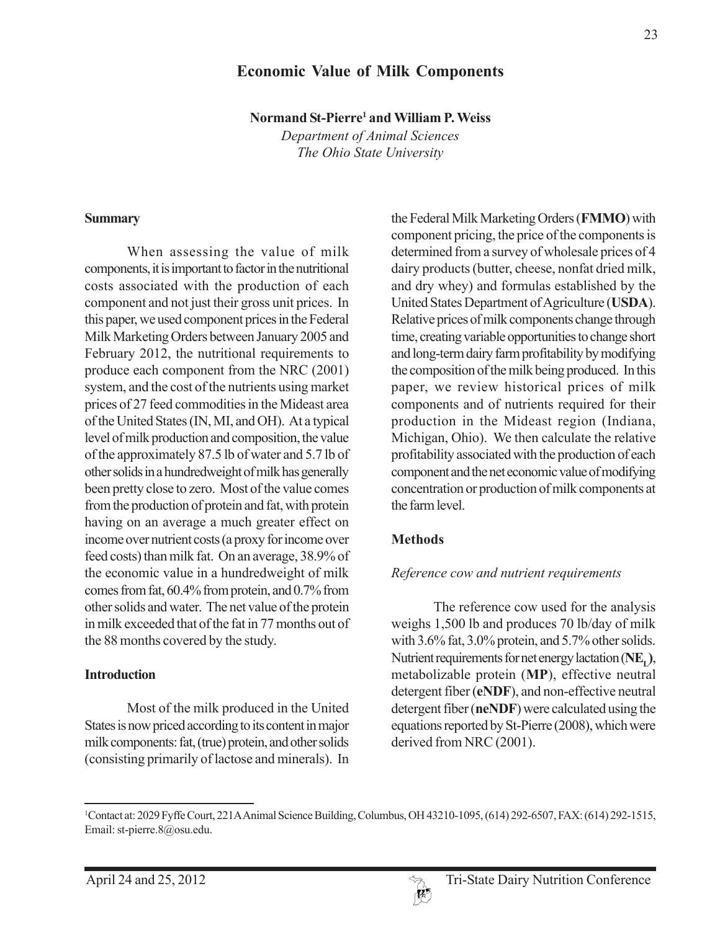# **Economic Value of Milk Components**

**Normand St-Pierre1 and William P. Weiss**

*Department of Animal Sciences The Ohio State University*

#### **Summary**

When assessing the value of milk components, it is important to factor in the nutritional costs associated with the production of each component and not just their gross unit prices. In this paper, we used component prices in the Federal Milk Marketing Orders between January 2005 and February 2012, the nutritional requirements to produce each component from the NRC (2001) system, and the cost of the nutrients using market prices of 27 feed commodities in the Mideast area of the United States (IN, MI, and OH). At a typical level of milk production and composition, the value of the approximately 87.5 lb of water and 5.7 lb of other solids in a hundredweight of milk has generally been pretty close to zero. Most of the value comes from the production of protein and fat, with protein having on an average a much greater effect on income over nutrient costs (a proxy for income over feed costs) than milk fat. On an average, 38.9% of the economic value in a hundredweight of milk comes from fat, 60.4% from protein, and 0.7% from other solids and water. The net value of the protein in milk exceeded that of the fat in 77 months out of the 88 months covered by the study.

#### **Introduction**

Most of the milk produced in the United States is now priced according to its content in major milk components: fat, (true) protein, and other solids (consisting primarily of lactose and minerals). In the Federal Milk Marketing Orders (**FMMO**) with component pricing, the price of the components is determined from a survey of wholesale prices of 4 dairy products (butter, cheese, nonfat dried milk, and dry whey) and formulas established by the United States Department of Agriculture (**USDA**). Relative prices of milk components change through time, creating variable opportunities to change short and long-term dairy farm profitability by modifying the composition of the milk being produced. In this paper, we review historical prices of milk components and of nutrients required for their production in the Mideast region (Indiana, Michigan, Ohio). We then calculate the relative profitability associated with the production of each component and the net economic value of modifying concentration or production of milk components at the farm level.

## **Methods**

#### *Reference cow and nutrient requirements*

The reference cow used for the analysis weighs 1,500 lb and produces 70 lb/day of milk with 3.6% fat, 3.0% protein, and 5.7% other solids. Nutrient requirements for net energy lactation (NE<sub>1</sub>), metabolizable protein (**MP**), effective neutral detergent fiber (**eNDF**), and non-effective neutral detergent fiber (**neNDF**) were calculated using the equations reported by St-Pierre (2008), which were derived from NRC (2001).



<sup>1</sup> Contact at: 2029 Fyffe Court, 221A Animal Science Building, Columbus, OH 43210-1095, (614) 292-6507, FAX: (614) 292-1515, Email: st-pierre.8@osu.edu.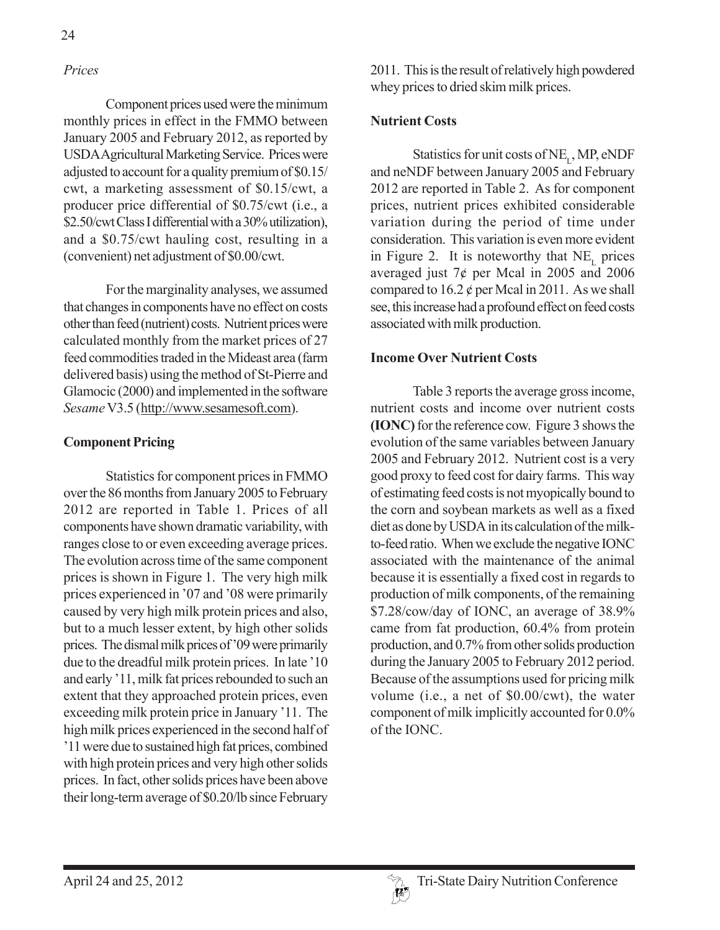# *Prices*

Component prices used were the minimum monthly prices in effect in the FMMO between January 2005 and February 2012, as reported by USDA Agricultural Marketing Service. Prices were adjusted to account for a quality premium of \$0.15/ cwt, a marketing assessment of \$0.15/cwt, a producer price differential of \$0.75/cwt (i.e., a \$2.50/cwt Class I differential with a 30% utilization), and a \$0.75/cwt hauling cost, resulting in a (convenient) net adjustment of \$0.00/cwt.

For the marginality analyses, we assumed that changes in components have no effect on costs other than feed (nutrient) costs. Nutrient prices were calculated monthly from the market prices of 27 feed commodities traded in the Mideast area (farm delivered basis) using the method of St-Pierre and Glamocic (2000) and implemented in the software *Sesame* V3.5 (http://www.sesamesoft.com).

## **Component Pricing**

Statistics for component prices in FMMO over the 86 months from January 2005 to February 2012 are reported in Table 1. Prices of all components have shown dramatic variability, with ranges close to or even exceeding average prices. The evolution across time of the same component prices is shown in Figure 1. The very high milk prices experienced in '07 and '08 were primarily caused by very high milk protein prices and also, but to a much lesser extent, by high other solids prices. The dismal milk prices of '09 were primarily due to the dreadful milk protein prices. In late '10 and early '11, milk fat prices rebounded to such an extent that they approached protein prices, even exceeding milk protein price in January '11. The high milk prices experienced in the second half of '11 were due to sustained high fat prices, combined with high protein prices and very high other solids prices. In fact, other solids prices have been above their long-term average of \$0.20/lb since February

2011. This is the result of relatively high powdered whey prices to dried skim milk prices.

# **Nutrient Costs**

Statistics for unit costs of  $NE_{L}$ , MP, eNDF and neNDF between January 2005 and February 2012 are reported in Table 2. As for component prices, nutrient prices exhibited considerable variation during the period of time under consideration. This variation is even more evident in Figure 2. It is noteworthy that  $NE_{\tau}$  prices averaged just  $7¢$  per Mcal in 2005 and 2006 compared to  $16.2 \phi$  per Mcal in 2011. As we shall see, this increase had a profound effect on feed costs associated with milk production.

## **Income Over Nutrient Costs**

Table 3 reports the average gross income, nutrient costs and income over nutrient costs **(IONC)** for the reference cow. Figure 3 shows the evolution of the same variables between January 2005 and February 2012. Nutrient cost is a very good proxy to feed cost for dairy farms. This way of estimating feed costs is not myopically bound to the corn and soybean markets as well as a fixed diet as done by USDA in its calculation of the milkto-feed ratio. When we exclude the negative IONC associated with the maintenance of the animal because it is essentially a fixed cost in regards to production of milk components, of the remaining \$7.28/cow/day of IONC, an average of 38.9% came from fat production, 60.4% from protein production, and 0.7% from other solids production during the January 2005 to February 2012 period. Because of the assumptions used for pricing milk volume (i.e., a net of \$0.00/cwt), the water component of milk implicitly accounted for 0.0% of the IONC.

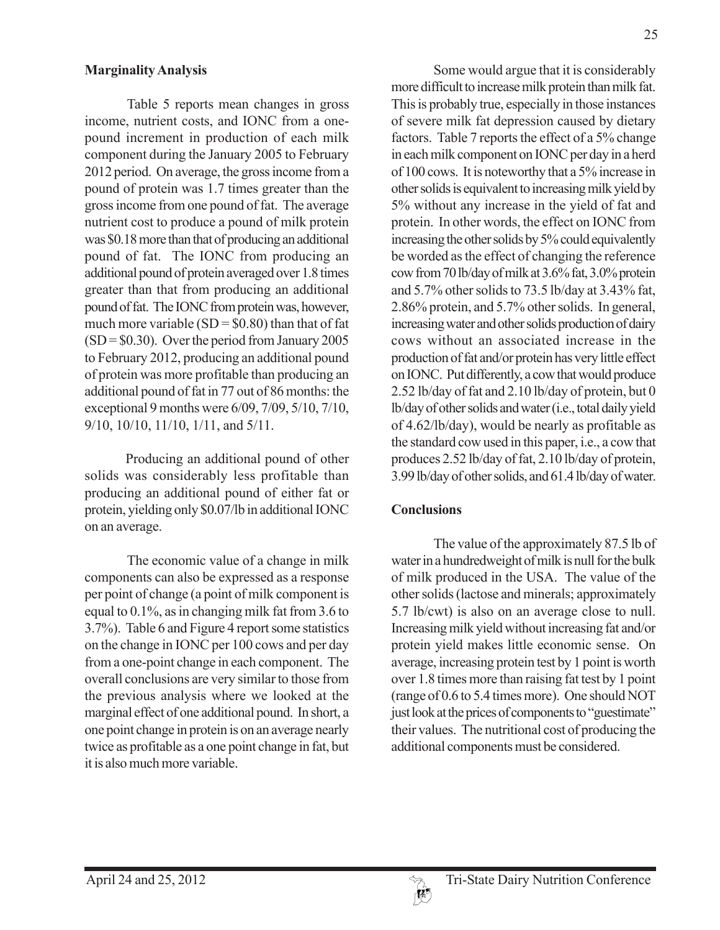### **Marginality Analysis**

Table 5 reports mean changes in gross income, nutrient costs, and IONC from a onepound increment in production of each milk component during the January 2005 to February 2012 period. On average, the gross income from a pound of protein was 1.7 times greater than the gross income from one pound of fat. The average nutrient cost to produce a pound of milk protein was \$0.18 more than that of producing an additional pound of fat. The IONC from producing an additional pound of protein averaged over 1.8 times greater than that from producing an additional pound of fat. The IONC from protein was, however, much more variable  $(SD = $0.80)$  than that of fat  $(SD = $0.30)$ . Over the period from January 2005 to February 2012, producing an additional pound of protein was more profitable than producing an additional pound of fat in 77 out of 86 months: the exceptional 9 months were 6/09, 7/09, 5/10, 7/10, 9/10, 10/10, 11/10, 1/11, and 5/11.

Producing an additional pound of other solids was considerably less profitable than producing an additional pound of either fat or protein, yielding only \$0.07/lb in additional IONC on an average.

The economic value of a change in milk components can also be expressed as a response per point of change (a point of milk component is equal to 0.1%, as in changing milk fat from 3.6 to 3.7%). Table 6 and Figure 4 report some statistics on the change in IONC per 100 cows and per day from a one-point change in each component. The overall conclusions are very similar to those from the previous analysis where we looked at the marginal effect of one additional pound. In short, a one point change in protein is on an average nearly twice as profitable as a one point change in fat, but it is also much more variable.

Some would argue that it is considerably more difficult to increase milk protein than milk fat. This is probably true, especially in those instances of severe milk fat depression caused by dietary factors. Table 7 reports the effect of a 5% change in each milk component on IONC per day in a herd of 100 cows. It is noteworthy that a 5% increase in other solids is equivalent to increasing milk yield by 5% without any increase in the yield of fat and protein. In other words, the effect on IONC from increasing the other solids by 5% could equivalently be worded as the effect of changing the reference cow from 70 lb/day of milk at 3.6% fat, 3.0% protein and 5.7% other solids to 73.5 lb/day at 3.43% fat, 2.86% protein, and 5.7% other solids. In general, increasing water and other solids production of dairy cows without an associated increase in the production of fat and/or protein has very little effect on IONC. Put differently, a cow that would produce 2.52 lb/day of fat and 2.10 lb/day of protein, but 0 lb/day of other solids and water (i.e., total daily yield of 4.62/lb/day), would be nearly as profitable as the standard cow used in this paper, i.e., a cow that produces 2.52 lb/day of fat, 2.10 lb/day of protein, 3.99 lb/day of other solids, and 61.4 lb/day of water.

## **Conclusions**

The value of the approximately 87.5 lb of water in a hundredweight of milk is null for the bulk of milk produced in the USA. The value of the other solids (lactose and minerals; approximately 5.7 lb/cwt) is also on an average close to null. Increasing milk yield without increasing fat and/or protein yield makes little economic sense. On average, increasing protein test by 1 point is worth over 1.8 times more than raising fat test by 1 point (range of 0.6 to 5.4 times more). One should NOT just look at the prices of components to "guestimate" their values. The nutritional cost of producing the additional components must be considered.

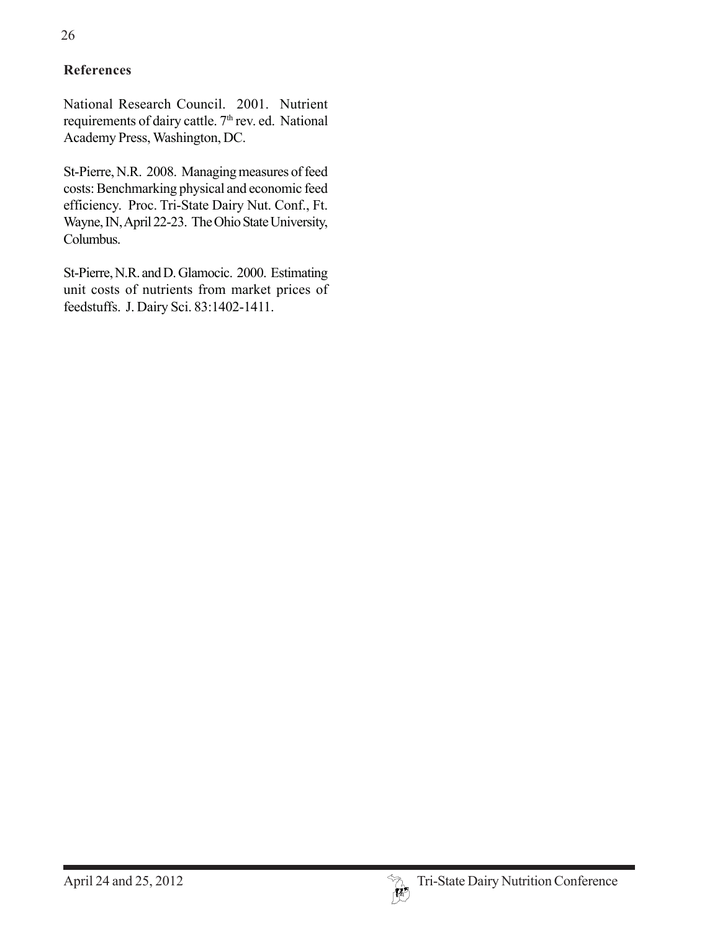# **References**

National Research Council. 2001. Nutrient requirements of dairy cattle.  $7<sup>th</sup>$  rev. ed. National Academy Press, Washington, DC.

St-Pierre, N.R. 2008. Managing measures of feed costs: Benchmarking physical and economic feed efficiency. Proc. Tri-State Dairy Nut. Conf., Ft. Wayne, IN, April 22-23. The Ohio State University, Columbus.

St-Pierre, N.R. and D. Glamocic. 2000. Estimating unit costs of nutrients from market prices of feedstuffs. J. Dairy Sci. 83:1402-1411.

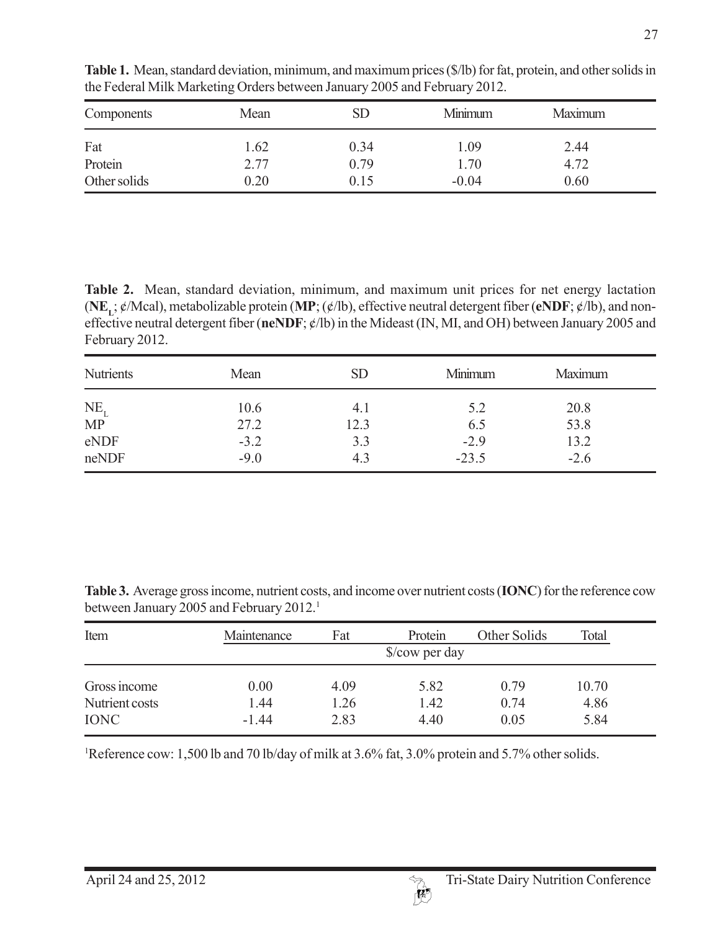| Components              | Mean         | SD           | Minimum         | Maximum      |  |
|-------------------------|--------------|--------------|-----------------|--------------|--|
| Fat                     | 1.62         | 0.34         | 1.09            | 2.44         |  |
| Protein<br>Other solids | 2.77<br>0.20 | 0.79<br>0.15 | 1.70<br>$-0.04$ | 4.72<br>0.60 |  |
|                         |              |              |                 |              |  |

**Table 1.** Mean, standard deviation, minimum, and maximum prices (\$/lb) for fat, protein, and other solids in the Federal Milk Marketing Orders between January 2005 and February 2012.

**Table 2.** Mean, standard deviation, minimum, and maximum unit prices for net energy lactation  $(NE_{\mathbf{r}}, \phi/\text{Mcal})$ , metabolizable protein  $(MP; (\phi/\text{lb})$ , effective neutral detergent fiber ( $eNDF; \phi/\text{lb}$ ), and noneffective neutral detergent fiber (**neNDF**; ¢/lb) in the Mideast (IN, MI, and OH) between January 2005 and February 2012.

| <b>Nutrients</b>                         | Mean   | <b>SD</b> | Minimum | Maximum |
|------------------------------------------|--------|-----------|---------|---------|
|                                          | 10.6   | 4.1       | 5.2     | 20.8    |
| $\frac{\text{NE}_{\text{L}}}{\text{MP}}$ | 27.2   | 12.3      | 6.5     | 53.8    |
| eNDF                                     | $-3.2$ | 3.3       | $-2.9$  | 13.2    |
| neNDF                                    | $-9.0$ | 4.3       | $-23.5$ | $-2.6$  |

**Table 3.** Average gross income, nutrient costs, and income over nutrient costs (**IONC**) for the reference cow between January 2005 and February 2012.<sup>1</sup>

| Item           | Maintenance | Fat  | Protein        | Other Solids | Total |  |
|----------------|-------------|------|----------------|--------------|-------|--|
|                |             |      | \$/cow per day |              |       |  |
| Gross income   | 0.00        | 4.09 | 5.82           | 0.79         | 10.70 |  |
| Nutrient costs | 1.44        | .26  | 1.42           | 0.74         | 4.86  |  |
| <b>IONC</b>    | $-1.44$     | 2.83 | 4.40           | 0.05         | 5.84  |  |

1 Reference cow: 1,500 lb and 70 lb/day of milk at 3.6% fat, 3.0% protein and 5.7% other solids.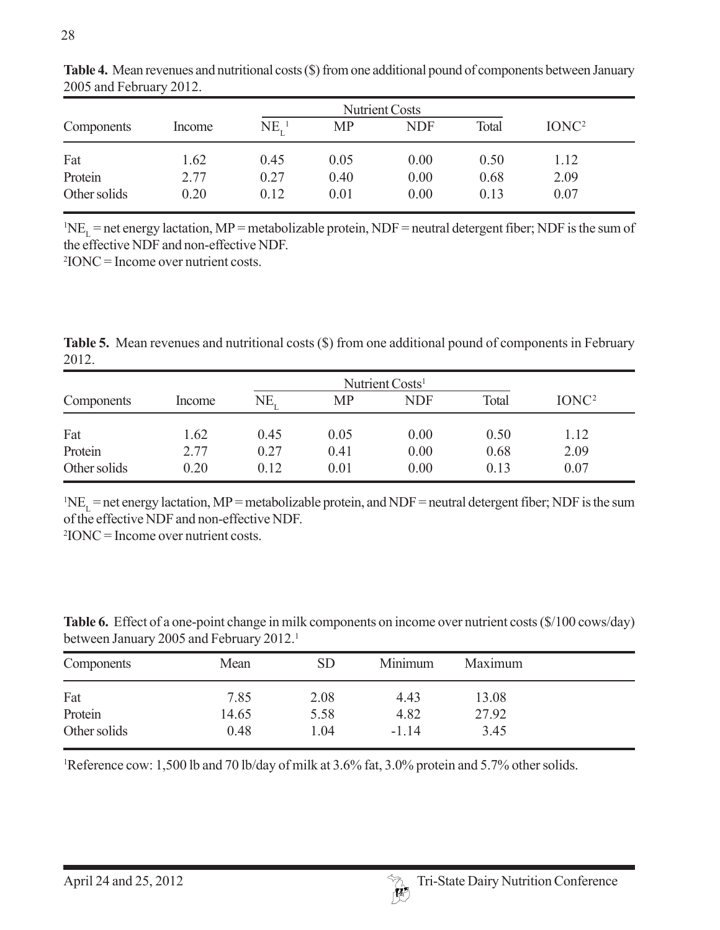| <b>Nutrient Costs</b> |        |               |           |            |       |                   |  |
|-----------------------|--------|---------------|-----------|------------|-------|-------------------|--|
| Components            | Income | $NE_{r}^{-1}$ | <b>MP</b> | <b>NDF</b> | Total | IONC <sup>2</sup> |  |
| Fat                   | 1.62   | 0.45          | 0.05      | 0.00       | 0.50  | 1.12              |  |
| Protein               | 2.77   | 0.27          | 0.40      | 0.00       | 0.68  | 2.09              |  |
| Other solids          | 0.20   | 0.12          | 0.01      | 0.00       | 0.13  | 0.07              |  |

**Table 4.** Mean revenues and nutritional costs (\$) from one additional pound of components between January 2005 and February 2012.

 ${}^{1}NE_{L}$  = net energy lactation, MP = metabolizable protein, NDF = neutral detergent fiber; NDF is the sum of the effective NDF and non-effective NDF.

2 IONC = Income over nutrient costs.

**Table 5.** Mean revenues and nutritional costs (\$) from one additional pound of components in February 2012.

|              |        |      | Nutrient Costs <sup>1</sup> |            |       |                   |  |  |
|--------------|--------|------|-----------------------------|------------|-------|-------------------|--|--|
| Components   | Income | NE,  | <b>MP</b>                   | <b>NDF</b> | Total | IONC <sup>2</sup> |  |  |
| Fat          | 1.62   | 0.45 | 0.05                        | 0.00       | 0.50  | 1.12              |  |  |
| Protein      | 2.77   | 0.27 | 0.41                        | 0.00       | 0.68  | 2.09              |  |  |
| Other solids | 0.20   | 0.12 | 0.01                        | 0.00       | 0.13  | 0.07              |  |  |

 ${}^{1}NE_{L}$  = net energy lactation, MP = metabolizable protein, and NDF = neutral detergent fiber; NDF is the sum of the effective NDF and non-effective NDF.

2 IONC = Income over nutrient costs.

**Table 6.** Effect of a one-point change in milk components on income over nutrient costs (\$/100 cows/day) between January 2005 and February 2012.<sup>1</sup>

| Components   | Mean  | SD   | Minimum | Maximum |  |
|--------------|-------|------|---------|---------|--|
| Fat          | 7.85  | 2.08 | 4.43    | 13.08   |  |
| Protein      | 14.65 | 5.58 | 4.82    | 27.92   |  |
| Other solids | 0.48  | 1.04 | $-1.14$ | 3.45    |  |

<sup>1</sup>Reference cow: 1,500 lb and 70 lb/day of milk at 3.6% fat, 3.0% protein and 5.7% other solids.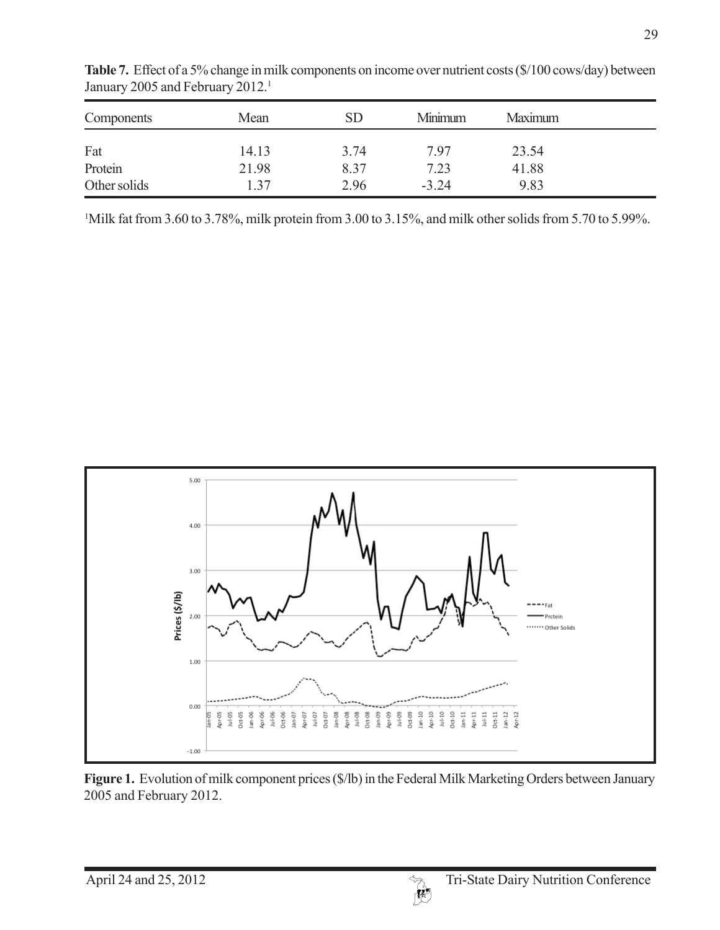| Components   | Mean  | SD   | Minimum | Maximum |  |
|--------------|-------|------|---------|---------|--|
| Fat          | 14.13 | 3.74 | 797     | 23.54   |  |
| Protein      | 21.98 | 8.37 | 7.23    | 41.88   |  |
| Other solids | 1 37  | 2.96 | $-3.24$ | 9.83    |  |

Table 7. Effect of a 5% change in milk components on income over nutrient costs (\$/100 cows/day) between January 2005 and February 2012.<sup>1</sup>

1 Milk fat from 3.60 to 3.78%, milk protein from 3.00 to 3.15%, and milk other solids from 5.70 to 5.99%.



Figure 1. Evolution of milk component prices (\$/lb) in the Federal Milk Marketing Orders between January 2005 and February 2012.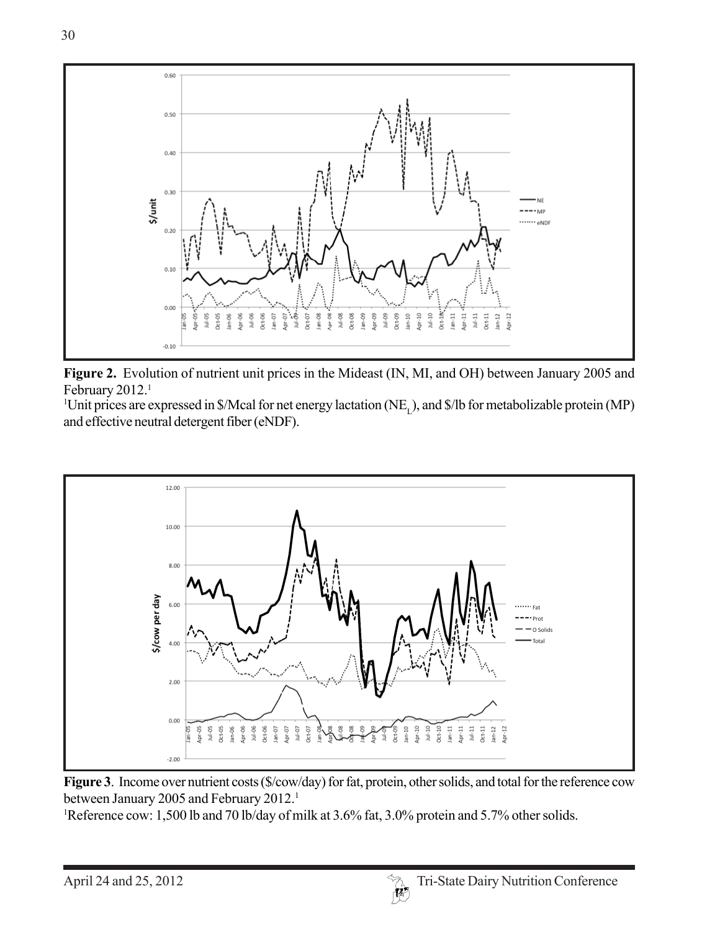

**Figure 2.** Evolution of nutrient unit prices in the Mideast (IN, MI, and OH) between January 2005 and February 2012.<sup>1</sup>

<sup>1</sup>Unit prices are expressed in \$/Mcal for net energy lactation (NE<sub>L</sub>), and \$/lb for metabolizable protein (MP) and effective neutral detergent fiber (eNDF).



**Figure 3**. Income over nutrient costs (\$/cow/day) for fat, protein, other solids, and total for the reference cow between January 2005 and February 2012.<sup>1</sup>

1 Reference cow: 1,500 lb and 70 lb/day of milk at 3.6% fat, 3.0% protein and 5.7% other solids.